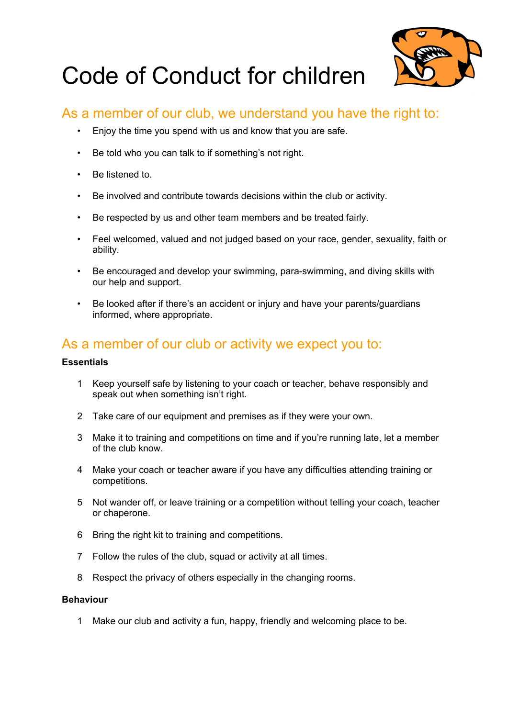

# Code of Conduct for children

## As a member of our club, we understand you have the right to:

- Enjoy the time you spend with us and know that you are safe.
- Be told who you can talk to if something's not right.
- Be listened to.
- Be involved and contribute towards decisions within the club or activity.
- Be respected by us and other team members and be treated fairly.
- Feel welcomed, valued and not judged based on your race, gender, sexuality, faith or ability.
- Be encouraged and develop your swimming, para-swimming, and diving skills with our help and support.
- Be looked after if there's an accident or injury and have your parents/guardians informed, where appropriate.

## As a member of our club or activity we expect you to:

### **Essentials**

- 1 Keep yourself safe by listening to your coach or teacher, behave responsibly and speak out when something isn't right.
- 2 Take care of our equipment and premises as if they were your own.
- 3 Make it to training and competitions on time and if you're running late, let a member of the club know.
- 4 Make your coach or teacher aware if you have any difficulties attending training or competitions.
- 5 Not wander off, or leave training or a competition without telling your coach, teacher or chaperone.
- 6 Bring the right kit to training and competitions.
- 7 Follow the rules of the club, squad or activity at all times.
- 8 Respect the privacy of others especially in the changing rooms.

#### **Behaviour**

1 Make our club and activity a fun, happy, friendly and welcoming place to be.